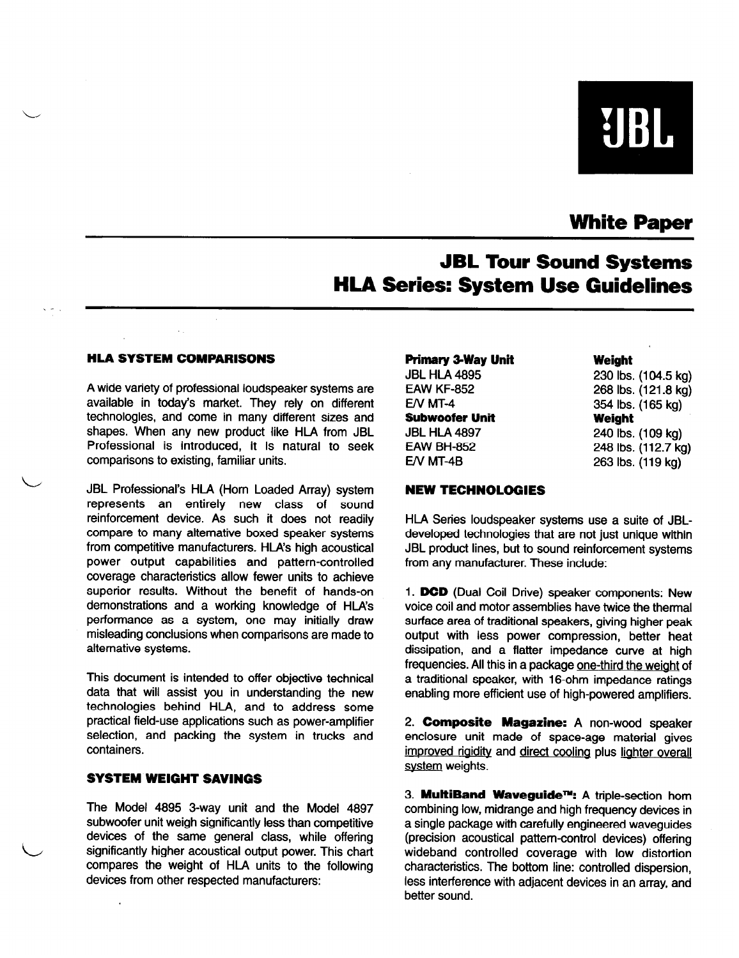# **UBL**

# White Paper

# JBL Tour Sound Systems HLA Series: System Use Guidelines

#### HLA SYSTEM COMPARISONS

 $\overline{\phantom{0}}$ 

L

A wide variety of professional loudspeaker systems are available in today's market. They rely on different technologies, and come in many different sizes and shapes. When any new product iike HLA from JBL Professional is introduced, it is natural to seek comparisons to existing, familiar units.

JBL Professional's HlA (Horn Loaded Array) system represents an entirely new class of sound reinforcement device. As such it does not readily compare to many alternative boxed speaker systems from competitive manufacturers. HLA's high acoustical power output capabilities and pattern-controlled coverage characteristics allow fewer units to achieve superior results. Without the benefit of hands-on demonstrations and a working knowledge of HLA's performance as a system, one may initially draw misleading conclusions when comparisons are made to alternative systems.

This document is intended to offer objective technical data that will assist you in understanding the new technologies behind HLA, and to address some practical field-use applications such as power-amplifier selection, and packing the system in trucks and containers.

#### SYSTEM WEIGHT SAVINGS

The Model 4895 3-way unit and the Model 4897 subwoofer unit weigh significantly less than competitive devices of the same general class, while offering significantly higher acoustical output power. This chart compares the weight of HlA units to the following devices from other respected manufacturers:

| Primary 3-Way Unit  |
|---------------------|
| <b>JBL HLA 4895</b> |
| <b>EAW KF-852</b>   |
| $EN$ MT-4           |
| Subwoofer Unit      |
| JBL HLA 4897        |
| <b>EAW BH-852</b>   |
| $EN$ MT-4B          |
|                     |

**Weight** 

230 Ibs. (104.5 kg) 268 Ibs. (121.8 kg) 354 Ibs. (165 kg) **Weight** 240 Ibs. (109 kg) 248 Ibs. (112.7 kg) 263 Ibs. (119 kg)

#### NEW TECHNOLOGIES

HlA Series loudspeaker systems use a suite of JBLdeveloped technologies that are not just unique within JBL product lines, but to sound reinforcement systems from any manufacturer. These include:

1. DGD (Dual Coil Drive) speaker components: New voice coil and motor assemblies have twice the thermal surface area of traditional speakers, giving higher peak output with less power compression, better heat dissipation, and a flatter impedance curve at high frequencies. All this in a package one-third the weight of a traditional speaker, with 16-ohm impedance ratings enabling more efficient use of high-powered amplifiers.

2. Composite Magazine: A non-wood speaker enclosure unit made of space-age material gives improved rigidity and direct cooling plus lighter overall system weights.

3. MultiBand Waveguide™: A triple-section hom combining low, midrange and high frequency devices in a single package with carefully engineered waveguides (precision acoustical pattern-control devices) offering wideband controlled coverage with low distortion characteristics. The bottom line: controlled dispersion, less interference with adjacent devices in an array, and better sound.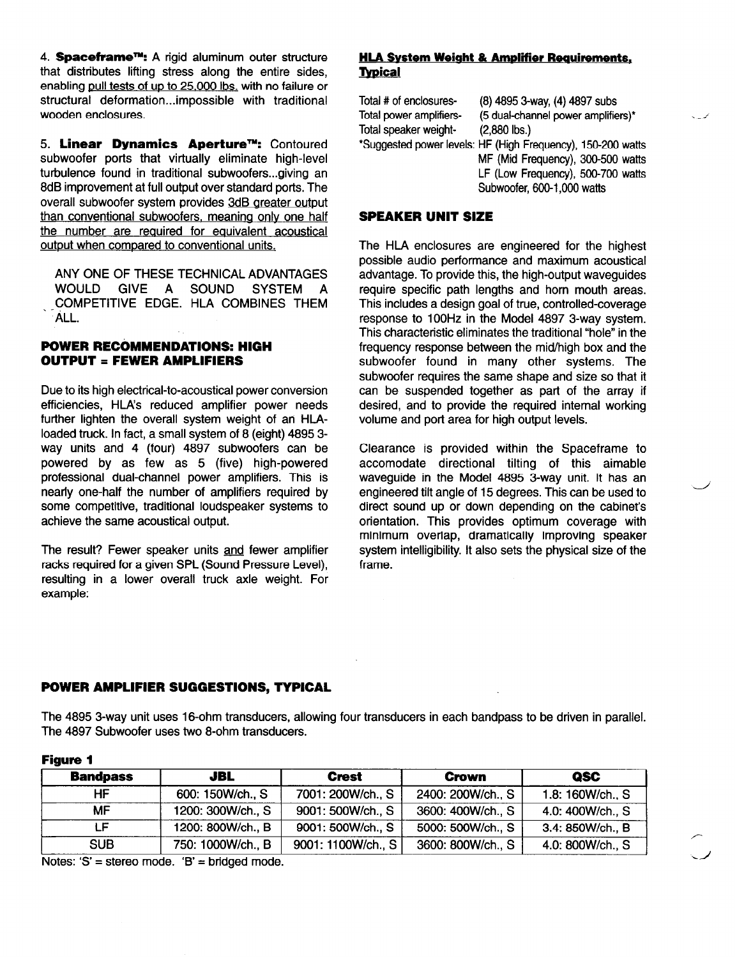4. Spaceframe<sup>TM</sup>: A rigid aluminum outer structure that distributes lifting stress along the entire sides, enabling pull tests of up to 25,000 Ibs. with no failure or structural deformation...impossible with traditional wooden enclosures.

5. Linear Dynamics Aperture™: Contoured subwoofer ports that virtually eliminate high-level turbulence found in traditional subwoofers...giving an 8dB improvement at full output over standard ports. The overall subwoofer system provides 3dB areater outout than conventional subwoofers. meaning only one half the number are required for equivalent acoustical output when compared to conventional units.

ANY ONE OF THESE TECHNICAL ADVANTAGES<br>WOULD GIVE A SOUND SYSTEM A GIVE A SOUND SYSTEM A COMPETITIVE EDGE. HLA COMBINES THEM ALL.

# POWER RECOMMENDATIONS: HIGH OUTPUT = FEWER AMPLIFIERS

Due to its high electrical-to-acoustical power conversion efficiencies, HLA's reduced amplifier power needs further lighten the overall system weight of an HLAloaded truck. In fact, a small system of 8 (eight) 4895 3 way units and 4 (four) 4897 subwoofers can be powered by as few as 5 (five) high-powered professional dual-channel power amplifiers. This is nearly one-half the number of amplifiers required by some competitive, traditional loudspeaker systems to achieve the same acoustical output.

The result? Fewer speaker units and fewer amplifier racks required for a given SPL (Sound Pressure Level), resulting in a lower overall truck axle weight. For example:

# **HLA System Weight & Amplifier Requirements, Typical**

Total # of enclosures- (8) 4895 3-way, (4) 4897 subs Total power amplifiers- (5 dual-channel **power amplifiers) Total speaker weight-\*Suggested power levels: HF (High Frequency), 150-200 watts MF (Mid Frequency), 300-500 watts LF (Low Frequency), 500-700 watts Subwoofer, 600-l ,000 watts** 

**4** 

 $\overline{\phantom{0}}$ 

# SPEAKER UNIT SIZE

The HLA enclosures are engineered for the highest possible audio performance and maximum acoustical advantage. To provide this, the high-output waveguides require specific path lengths and horn mouth areas. This includes a design goal of true, controlled-coverage response to 100Hz in the Model 4897 3-way system. This characteristic eliminates the traditional "hole" in the frequency response between the mid/high box and the subwoofer found in many other systems. The subwoofer requires the same shape and size so that it can be suspended together as part of the array if desired, and to provide the required internal working volume and port area for high output levels.

Clearance is provided within the Spaceframe to accomodate directional tilting of this aimable waveguide in the Model 4895 3-way unit. It has an engineered tilt angle of 15 degrees. This can be used to direct sound **up** or down depending on the cabinet's orientation. This provides optimum coverage with minimum overlap, dramatically improving speaker system intelligibility. It also sets the physical size of the frame.

# POWER AMPLIFIER SUGGESTIONS, TYPICAL

The 4895 3-way unit uses 16-ohm transducers, allowing four transducers in each bandpass to be driven in parallel. The 4897 Subwoofer uses two 8-ohm transducers.

| <b>Bandpass</b> | <b>JBL</b>        | <b>Crest</b>       | <b>Crown</b>      | QSC              |
|-----------------|-------------------|--------------------|-------------------|------------------|
| ΗF              | 600: 150W/ch., S  | 7001: 200W/ch., S  | 2400: 200W/ch., S | 1.8: 160W/ch., S |
| MF.             | 1200: 300W/ch., S | 9001: 500W/ch., S  | 3600: 400W/ch., S | 4.0: 400W/ch., S |
| LF.             | 1200: 800W/ch., B | 9001: 500W/ch., S  | 5000: 500W/ch., S | 3.4: 850W/ch., B |
| <b>SUB</b>      | 750: 1000W/ch., B | 9001: 1100W/ch., S | 3600: 800W/ch., S | 4.0: 800W/ch., S |

## Figure 1

Notes: 'S' = stereo mode. 'B' = bridged mode.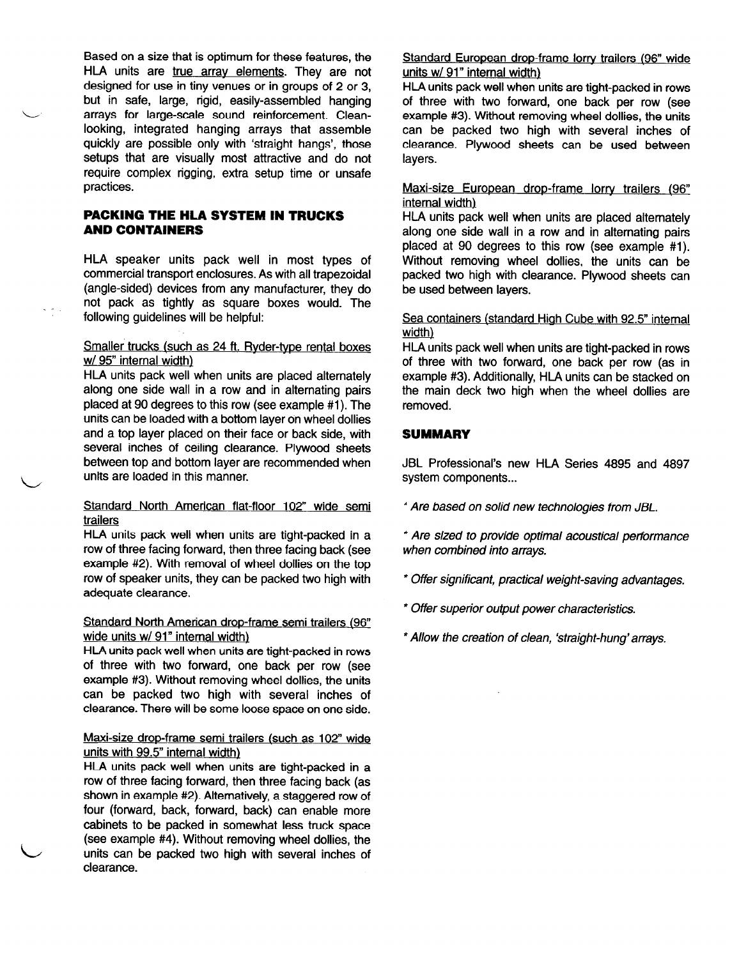Based on a size that is optimum for these features, the HLA units are true array elements. They are not designed for use in tiny venues or in groups of 2 or 3, but in safe, large, rigid, easily-assembled hanging arrays for large-scale sound reinforcement. Cleanlooking, integrated hanging arrays that assemble quickly are possible only with 'straight hangs', those setups that are visually most attractive and do not require complex rigging, extra setup time or unsafe practices.

## PACKING THE HLA SYSTEM IN TRUCKS AND CONTAINERS

HLA speaker units pack well in most types of commercial transport enclosures. As with all trapezoidal (angle-sided) devices from any manufacturer, they do not pack as tightly as square boxes would. The following guidelines will be helpful:

#### Smaller trucks (such as 24 ft. Ryder-type rental boxes w/ 95" internal width)

HLA units pack well when units are placed alternately along one side wall in a row and in alternating pairs placed at 90 degrees to this row (see example #1). The units can be loaded with a bottom layer on wheel dollies and a top layer placed on their face or back side, with several inches of ceiling clearance. Plywood sheets between top and bottom layer are recommended when units are loaded in this manner.

#### Standard North American flat-floor 102" wide semi trailers

HLA units pack well when units are tight-packed in a row of three facing forward, then three facing back (see example #2). With removal of wheel dollies on the top row of speaker units, they can be packed two high with adequate clearance.

#### Standard North American drop-frame semi trailers (98" wide units w/ 91" internal width)

HLA units pack well when units are tight-packed in rows of three with two forward, one back per row (see example #3). Without removing wheel dollies, the units can be packed two high with several inches of clearance. There will be some loose space on one side.

#### Maxi-size drop-frame semi trailers (such as 102" wide units with 99.5" internal width)

HLA units pack well when units are tight-packed in a row of three facing forward, then three facing back (as shown in example #2). Alternatively, a staggered row of four (forward, back, forward, back) can enable more cabinets to be packed in somewhat less truck space (see example #4). Without removing wheel dollies, the units can be packed two high with several inches of clearance.

L

#### Standard European drop-frame lorry trailers (98" wide units w/ 91" internal width)

HLA units pack well when units are tight-packed in rows of three with two forward, one back per row (see example #3). Without removing wheel dollies, the units can be packed two high with several inches of clearance. Plywood sheets can be used between layers.

## Maxi-size European drop-frame lorry trailers (98" internal width)

HlA units pack well when units are placed alternately along one side wall in a row and in alternating pairs placed at 90 degrees to this row (see example #l). Without removing wheel dollies, the units can be packed two high with clearance. Plywood sheets can be used between layers.

#### Sea containers (standard High Cube with 92.5" internal width)

HLA units pack well when units are tight-packed in rows of three with two forward, one back per row (as in example #3). Additionally, HLA units can be stacked on the main deck two high when the wheel dollies are removed.

# **SUMMARY**

JBL Professional's new HLA Series 4895 and 4897 system components...

- <sup>l</sup>*Are based on solid new technologies from JBL.*
- <sup>l</sup>*Are sized to provide optimal acoustical performance when combined into arrays.*
- *\* Offer signkant, practical weight-saving advantages.*
- *\* Offer superior output power characteristics.*
- *\*Allow the creation of clean, 'straight-hung'arrays.*